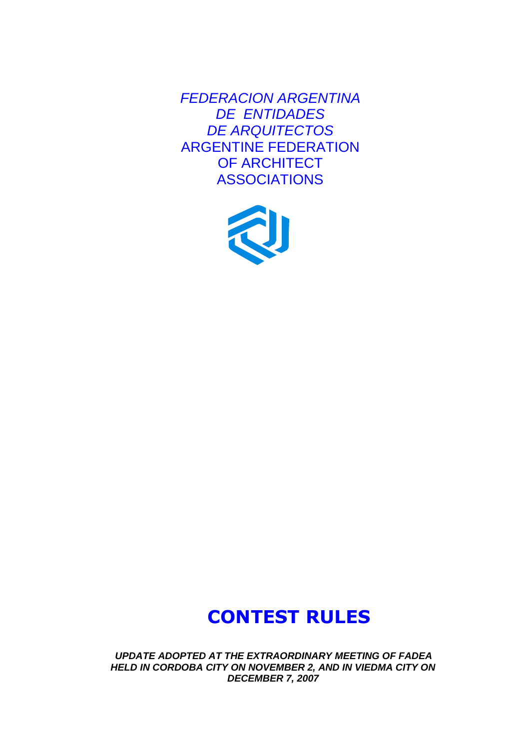*FEDERACION ARGENTINA DE ENTIDADES DE ARQUITECTOS* ARGENTINE FEDERATION OF ARCHITECT ASSOCIATIONS



# **CONTEST RULES**

*UPDATE ADOPTED AT THE EXTRAORDINARY MEETING OF FADEA HELD IN CORDOBA CITY ON NOVEMBER 2, AND IN VIEDMA CITY ON DECEMBER 7, 2007*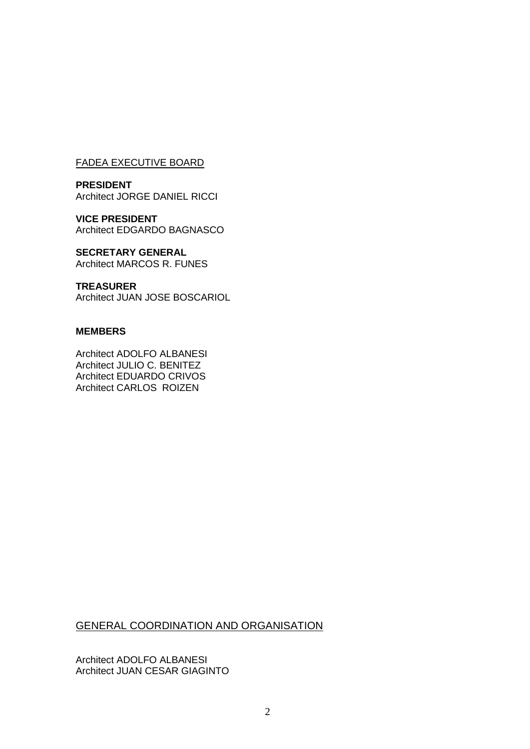#### FADEA EXECUTIVE BOARD

**PRESIDENT** Architect JORGE DANIEL RICCI

**VICE PRESIDENT** Architect EDGARDO BAGNASCO

**SECRETARY GENERAL** Architect MARCOS R. FUNES

**TREASURER** Architect JUAN JOSE BOSCARIOL

#### **MEMBERS**

Architect ADOLFO ALBANESI Architect JULIO C. BENITEZ Architect EDUARDO CRIVOS Architect CARLOS ROIZEN

GENERAL COORDINATION AND ORGANISATION

Architect ADOLFO ALBANESI Architect JUAN CESAR GIAGINTO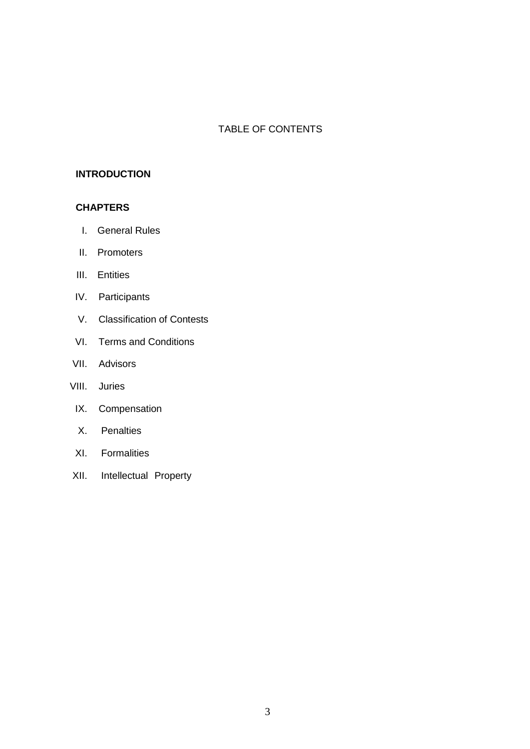## TABLE OF CONTENTS

#### **INTRODUCTION**

#### **CHAPTERS**

- I. General Rules
- II. Promoters
- III. Entities
- IV. Participants
- V. Classification of Contests
- VI. Terms and Conditions
- VII. Advisors
- VIII. Juries
- IX. Compensation
- X. Penalties
- XI. Formalities
- XII. Intellectual Property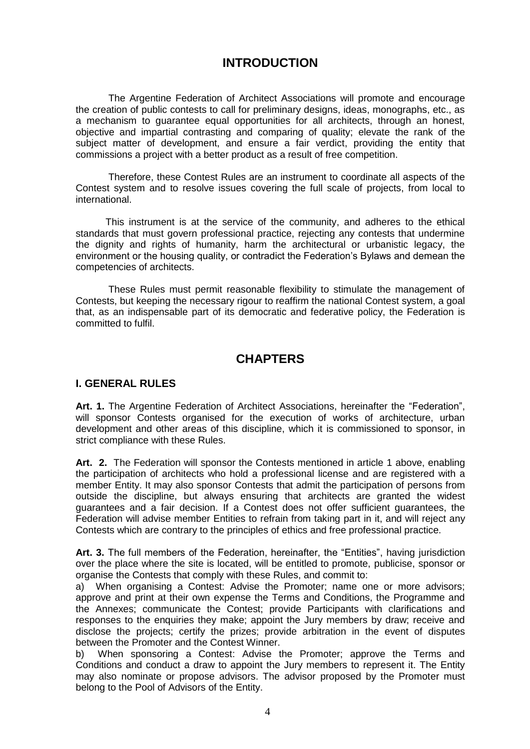# **INTRODUCTION**

The Argentine Federation of Architect Associations will promote and encourage the creation of public contests to call for preliminary designs, ideas, monographs, etc., as a mechanism to guarantee equal opportunities for all architects, through an honest, objective and impartial contrasting and comparing of quality; elevate the rank of the subject matter of development, and ensure a fair verdict, providing the entity that commissions a project with a better product as a result of free competition.

Therefore, these Contest Rules are an instrument to coordinate all aspects of the Contest system and to resolve issues covering the full scale of projects, from local to international.

This instrument is at the service of the community, and adheres to the ethical standards that must govern professional practice, rejecting any contests that undermine the dignity and rights of humanity, harm the architectural or urbanistic legacy, the environment or the housing quality, or contradict the Federation's Bylaws and demean the competencies of architects.

These Rules must permit reasonable flexibility to stimulate the management of Contests, but keeping the necessary rigour to reaffirm the national Contest system, a goal that, as an indispensable part of its democratic and federative policy, the Federation is committed to fulfil.

# **CHAPTERS**

#### **I. GENERAL RULES**

**Art. 1.** The Argentine Federation of Architect Associations, hereinafter the "Federation", will sponsor Contests organised for the execution of works of architecture, urban development and other areas of this discipline, which it is commissioned to sponsor, in strict compliance with these Rules.

**Art. 2.** The Federation will sponsor the Contests mentioned in article 1 above, enabling the participation of architects who hold a professional license and are registered with a member Entity. It may also sponsor Contests that admit the participation of persons from outside the discipline, but always ensuring that architects are granted the widest guarantees and a fair decision. If a Contest does not offer sufficient guarantees, the Federation will advise member Entities to refrain from taking part in it, and will reject any Contests which are contrary to the principles of ethics and free professional practice.

**Art. 3.** The full members of the Federation, hereinafter, the "Entities", having jurisdiction over the place where the site is located, will be entitled to promote, publicise, sponsor or organise the Contests that comply with these Rules, and commit to:

a) When organising a Contest: Advise the Promoter; name one or more advisors; approve and print at their own expense the Terms and Conditions, the Programme and the Annexes; communicate the Contest; provide Participants with clarifications and responses to the enquiries they make; appoint the Jury members by draw; receive and disclose the projects; certify the prizes; provide arbitration in the event of disputes between the Promoter and the Contest Winner.

b) When sponsoring a Contest: Advise the Promoter; approve the Terms and Conditions and conduct a draw to appoint the Jury members to represent it. The Entity may also nominate or propose advisors. The advisor proposed by the Promoter must belong to the Pool of Advisors of the Entity.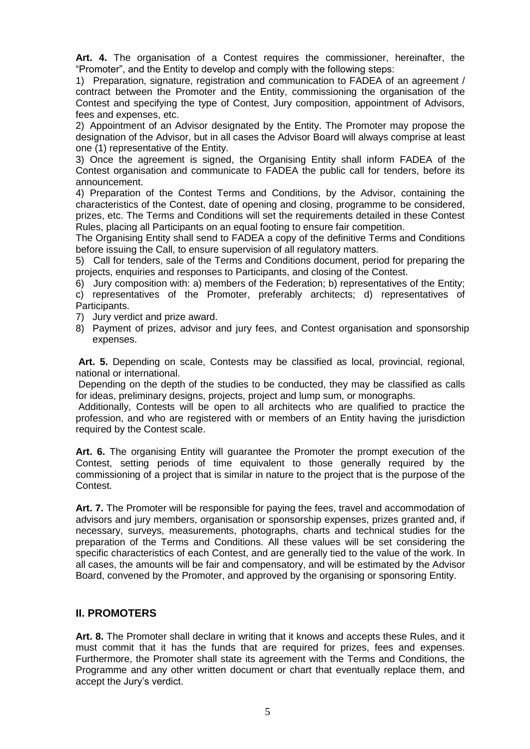**Art. 4.** The organisation of a Contest requires the commissioner, hereinafter, the "Promoter", and the Entity to develop and comply with the following steps:

1) Preparation, signature, registration and communication to FADEA of an agreement / contract between the Promoter and the Entity, commissioning the organisation of the Contest and specifying the type of Contest, Jury composition, appointment of Advisors, fees and expenses, etc.

2) Appointment of an Advisor designated by the Entity. The Promoter may propose the designation of the Advisor, but in all cases the Advisor Board will always comprise at least one (1) representative of the Entity.

3) Once the agreement is signed, the Organising Entity shall inform FADEA of the Contest organisation and communicate to FADEA the public call for tenders, before its announcement.

4) Preparation of the Contest Terms and Conditions, by the Advisor, containing the characteristics of the Contest, date of opening and closing, programme to be considered, prizes, etc. The Terms and Conditions will set the requirements detailed in these Contest Rules, placing all Participants on an equal footing to ensure fair competition.

The Organising Entity shall send to FADEA a copy of the definitive Terms and Conditions before issuing the Call, to ensure supervision of all regulatory matters.

5) Call for tenders, sale of the Terms and Conditions document, period for preparing the projects, enquiries and responses to Participants, and closing of the Contest.

6) Jury composition with: a) members of the Federation; b) representatives of the Entity;

c) representatives of the Promoter, preferably architects; d) representatives of Participants.

- 7) Jury verdict and prize award.
- 8) Payment of prizes, advisor and jury fees, and Contest organisation and sponsorship expenses.

**Art. 5.** Depending on scale, Contests may be classified as local, provincial, regional, national or international.

Depending on the depth of the studies to be conducted, they may be classified as calls for ideas, preliminary designs, projects, project and lump sum, or monographs.

Additionally, Contests will be open to all architects who are qualified to practice the profession, and who are registered with or members of an Entity having the jurisdiction required by the Contest scale.

**Art. 6.** The organising Entity will guarantee the Promoter the prompt execution of the Contest, setting periods of time equivalent to those generally required by the commissioning of a project that is similar in nature to the project that is the purpose of the Contest.

**Art. 7.** The Promoter will be responsible for paying the fees, travel and accommodation of advisors and jury members, organisation or sponsorship expenses, prizes granted and, if necessary, surveys, measurements, photographs, charts and technical studies for the preparation of the Terms and Conditions. All these values will be set considering the specific characteristics of each Contest, and are generally tied to the value of the work. In all cases, the amounts will be fair and compensatory, and will be estimated by the Advisor Board, convened by the Promoter, and approved by the organising or sponsoring Entity.

## **II. PROMOTERS**

**Art. 8.** The Promoter shall declare in writing that it knows and accepts these Rules, and it must commit that it has the funds that are required for prizes, fees and expenses. Furthermore, the Promoter shall state its agreement with the Terms and Conditions, the Programme and any other written document or chart that eventually replace them, and accept the Jury's verdict.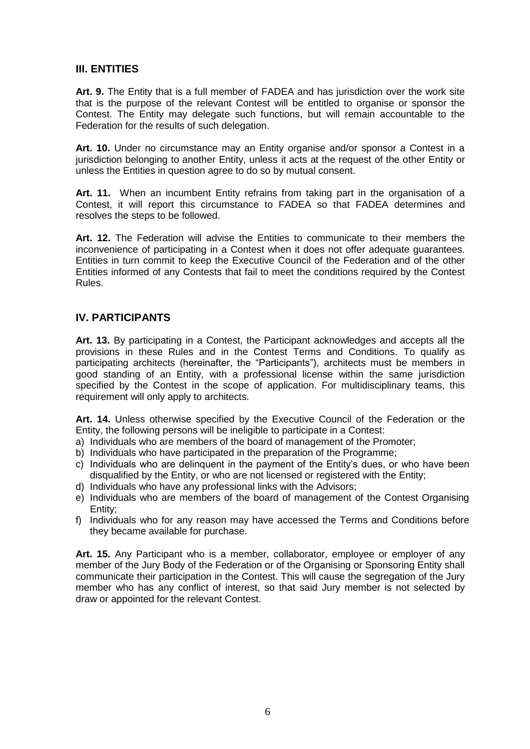## **III. ENTITIES**

**Art. 9.** The Entity that is a full member of FADEA and has jurisdiction over the work site that is the purpose of the relevant Contest will be entitled to organise or sponsor the Contest. The Entity may delegate such functions, but will remain accountable to the Federation for the results of such delegation.

**Art. 10.** Under no circumstance may an Entity organise and/or sponsor a Contest in a jurisdiction belonging to another Entity, unless it acts at the request of the other Entity or unless the Entities in question agree to do so by mutual consent.

**Art. 11.** When an incumbent Entity refrains from taking part in the organisation of a Contest, it will report this circumstance to FADEA so that FADEA determines and resolves the steps to be followed.

**Art. 12.** The Federation will advise the Entities to communicate to their members the inconvenience of participating in a Contest when it does not offer adequate guarantees. Entities in turn commit to keep the Executive Council of the Federation and of the other Entities informed of any Contests that fail to meet the conditions required by the Contest Rules.

#### **IV. PARTICIPANTS**

**Art. 13.** By participating in a Contest, the Participant acknowledges and accepts all the provisions in these Rules and in the Contest Terms and Conditions. To qualify as participating architects (hereinafter, the "Participants"), architects must be members in good standing of an Entity, with a professional license within the same jurisdiction specified by the Contest in the scope of application. For multidisciplinary teams, this requirement will only apply to architects.

**Art. 14.** Unless otherwise specified by the Executive Council of the Federation or the Entity, the following persons will be ineligible to participate in a Contest:

- a) Individuals who are members of the board of management of the Promoter;
- b) Individuals who have participated in the preparation of the Programme;
- c) Individuals who are delinquent in the payment of the Entity's dues, or who have been disqualified by the Entity, or who are not licensed or registered with the Entity;
- d) Individuals who have any professional links with the Advisors;
- e) Individuals who are members of the board of management of the Contest Organising Entity;
- f) Individuals who for any reason may have accessed the Terms and Conditions before they became available for purchase.

**Art. 15.** Any Participant who is a member, collaborator, employee or employer of any member of the Jury Body of the Federation or of the Organising or Sponsoring Entity shall communicate their participation in the Contest. This will cause the segregation of the Jury member who has any conflict of interest, so that said Jury member is not selected by draw or appointed for the relevant Contest.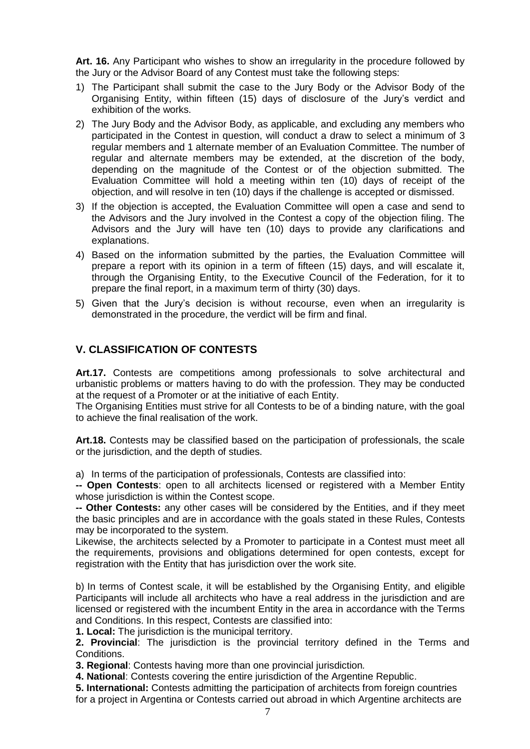**Art. 16.** Any Participant who wishes to show an irregularity in the procedure followed by the Jury or the Advisor Board of any Contest must take the following steps:

- 1) The Participant shall submit the case to the Jury Body or the Advisor Body of the Organising Entity, within fifteen (15) days of disclosure of the Jury's verdict and exhibition of the works.
- 2) The Jury Body and the Advisor Body, as applicable, and excluding any members who participated in the Contest in question, will conduct a draw to select a minimum of 3 regular members and 1 alternate member of an Evaluation Committee. The number of regular and alternate members may be extended, at the discretion of the body, depending on the magnitude of the Contest or of the objection submitted. The Evaluation Committee will hold a meeting within ten (10) days of receipt of the objection, and will resolve in ten (10) days if the challenge is accepted or dismissed.
- 3) If the objection is accepted, the Evaluation Committee will open a case and send to the Advisors and the Jury involved in the Contest a copy of the objection filing. The Advisors and the Jury will have ten (10) days to provide any clarifications and explanations.
- 4) Based on the information submitted by the parties, the Evaluation Committee will prepare a report with its opinion in a term of fifteen (15) days, and will escalate it, through the Organising Entity, to the Executive Council of the Federation, for it to prepare the final report, in a maximum term of thirty (30) days.
- 5) Given that the Jury's decision is without recourse, even when an irregularity is demonstrated in the procedure, the verdict will be firm and final.

## **V. CLASSIFICATION OF CONTESTS**

**Art.17.** Contests are competitions among professionals to solve architectural and urbanistic problems or matters having to do with the profession. They may be conducted at the request of a Promoter or at the initiative of each Entity.

The Organising Entities must strive for all Contests to be of a binding nature, with the goal to achieve the final realisation of the work.

**Art.18.** Contests may be classified based on the participation of professionals, the scale or the jurisdiction, and the depth of studies.

a) In terms of the participation of professionals, Contests are classified into:

**-- Open Contests**: open to all architects licensed or registered with a Member Entity whose jurisdiction is within the Contest scope.

**-- Other Contests:** any other cases will be considered by the Entities, and if they meet the basic principles and are in accordance with the goals stated in these Rules, Contests may be incorporated to the system.

Likewise, the architects selected by a Promoter to participate in a Contest must meet all the requirements, provisions and obligations determined for open contests, except for registration with the Entity that has jurisdiction over the work site.

b) In terms of Contest scale, it will be established by the Organising Entity, and eligible Participants will include all architects who have a real address in the jurisdiction and are licensed or registered with the incumbent Entity in the area in accordance with the Terms and Conditions. In this respect, Contests are classified into:

**1. Local:** The jurisdiction is the municipal territory.

**2. Provincial**: The jurisdiction is the provincial territory defined in the Terms and Conditions.

**3. Regional**: Contests having more than one provincial jurisdiction*.*

**4. National**: Contests covering the entire jurisdiction of the Argentine Republic.

**5. International:** Contests admitting the participation of architects from foreign countries for a project in Argentina or Contests carried out abroad in which Argentine architects are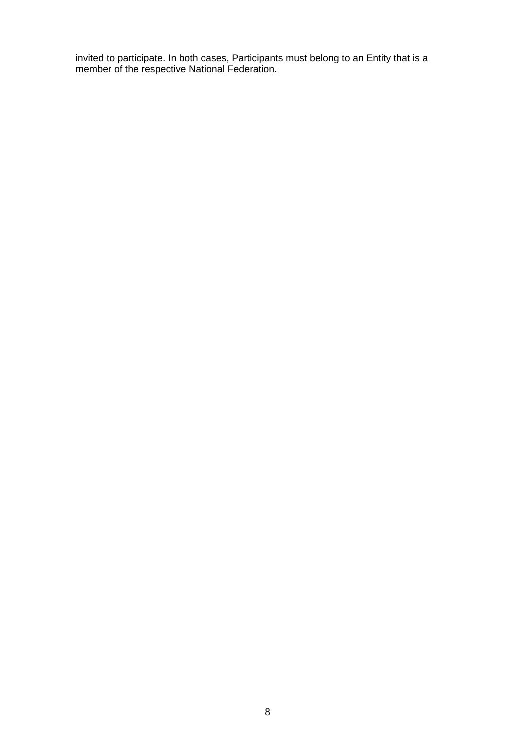invited to participate. In both cases, Participants must belong to an Entity that is a member of the respective National Federation.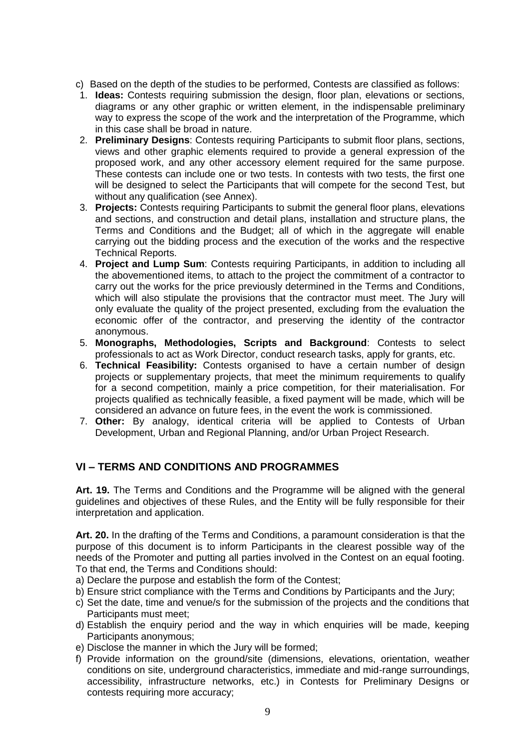- c) Based on the depth of the studies to be performed, Contests are classified as follows:
- 1. **Ideas:** Contests requiring submission the design, floor plan, elevations or sections, diagrams or any other graphic or written element, in the indispensable preliminary way to express the scope of the work and the interpretation of the Programme, which in this case shall be broad in nature.
- 2. **Preliminary Designs**: Contests requiring Participants to submit floor plans, sections, views and other graphic elements required to provide a general expression of the proposed work, and any other accessory element required for the same purpose. These contests can include one or two tests. In contests with two tests, the first one will be designed to select the Participants that will compete for the second Test, but without any qualification (see Annex).
- 3. **Projects:** Contests requiring Participants to submit the general floor plans, elevations and sections, and construction and detail plans, installation and structure plans, the Terms and Conditions and the Budget; all of which in the aggregate will enable carrying out the bidding process and the execution of the works and the respective Technical Reports.
- 4. **Project and Lump Sum**: Contests requiring Participants, in addition to including all the abovementioned items, to attach to the project the commitment of a contractor to carry out the works for the price previously determined in the Terms and Conditions, which will also stipulate the provisions that the contractor must meet. The Jury will only evaluate the quality of the project presented, excluding from the evaluation the economic offer of the contractor, and preserving the identity of the contractor anonymous.
- 5. **Monographs, Methodologies, Scripts and Background**: Contests to select professionals to act as Work Director, conduct research tasks, apply for grants, etc.
- 6. **Technical Feasibility:** Contests organised to have a certain number of design projects or supplementary projects, that meet the minimum requirements to qualify for a second competition, mainly a price competition, for their materialisation. For projects qualified as technically feasible, a fixed payment will be made, which will be considered an advance on future fees, in the event the work is commissioned.
- 7. **Other:** By analogy, identical criteria will be applied to Contests of Urban Development, Urban and Regional Planning, and/or Urban Project Research.

## **VI – TERMS AND CONDITIONS AND PROGRAMMES**

**Art. 19.** The Terms and Conditions and the Programme will be aligned with the general guidelines and objectives of these Rules, and the Entity will be fully responsible for their interpretation and application.

**Art. 20.** In the drafting of the Terms and Conditions, a paramount consideration is that the purpose of this document is to inform Participants in the clearest possible way of the needs of the Promoter and putting all parties involved in the Contest on an equal footing. To that end, the Terms and Conditions should:

- a) Declare the purpose and establish the form of the Contest;
- b) Ensure strict compliance with the Terms and Conditions by Participants and the Jury;
- c) Set the date, time and venue/s for the submission of the projects and the conditions that Participants must meet;
- d) Establish the enquiry period and the way in which enquiries will be made, keeping Participants anonymous;
- e) Disclose the manner in which the Jury will be formed;
- f) Provide information on the ground/site (dimensions, elevations, orientation, weather conditions on site, underground characteristics, immediate and mid-range surroundings, accessibility, infrastructure networks, etc.) in Contests for Preliminary Designs or contests requiring more accuracy;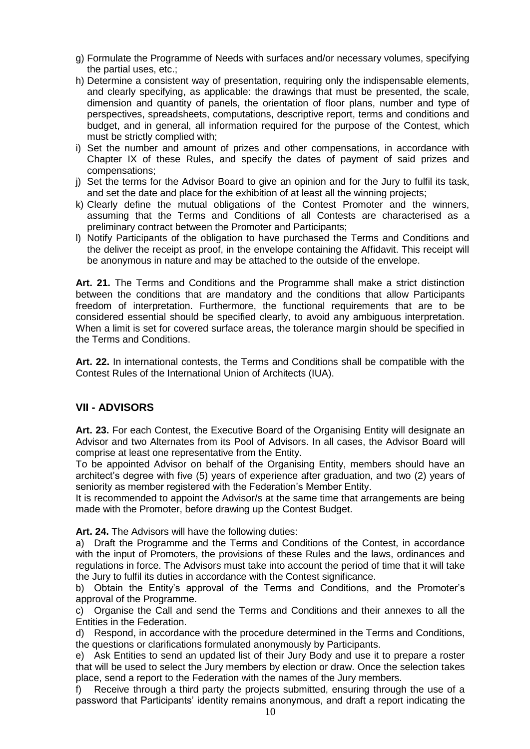- g) Formulate the Programme of Needs with surfaces and/or necessary volumes, specifying the partial uses, etc.;
- h) Determine a consistent way of presentation, requiring only the indispensable elements, and clearly specifying, as applicable: the drawings that must be presented, the scale, dimension and quantity of panels, the orientation of floor plans, number and type of perspectives, spreadsheets, computations, descriptive report, terms and conditions and budget, and in general, all information required for the purpose of the Contest, which must be strictly complied with;
- i) Set the number and amount of prizes and other compensations, in accordance with Chapter IX of these Rules, and specify the dates of payment of said prizes and compensations;
- j) Set the terms for the Advisor Board to give an opinion and for the Jury to fulfil its task, and set the date and place for the exhibition of at least all the winning projects;
- k) Clearly define the mutual obligations of the Contest Promoter and the winners, assuming that the Terms and Conditions of all Contests are characterised as a preliminary contract between the Promoter and Participants;
- l) Notify Participants of the obligation to have purchased the Terms and Conditions and the deliver the receipt as proof, in the envelope containing the Affidavit. This receipt will be anonymous in nature and may be attached to the outside of the envelope.

**Art. 21.** The Terms and Conditions and the Programme shall make a strict distinction between the conditions that are mandatory and the conditions that allow Participants freedom of interpretation. Furthermore, the functional requirements that are to be considered essential should be specified clearly, to avoid any ambiguous interpretation. When a limit is set for covered surface areas, the tolerance margin should be specified in the Terms and Conditions.

**Art. 22.** In international contests, the Terms and Conditions shall be compatible with the Contest Rules of the International Union of Architects (IUA).

## **VII - ADVISORS**

**Art. 23.** For each Contest, the Executive Board of the Organising Entity will designate an Advisor and two Alternates from its Pool of Advisors. In all cases, the Advisor Board will comprise at least one representative from the Entity.

To be appointed Advisor on behalf of the Organising Entity, members should have an architect's degree with five (5) years of experience after graduation, and two (2) years of seniority as member registered with the Federation's Member Entity.

It is recommended to appoint the Advisor/s at the same time that arrangements are being made with the Promoter, before drawing up the Contest Budget.

**Art. 24.** The Advisors will have the following duties:

a) Draft the Programme and the Terms and Conditions of the Contest, in accordance with the input of Promoters, the provisions of these Rules and the laws, ordinances and regulations in force. The Advisors must take into account the period of time that it will take the Jury to fulfil its duties in accordance with the Contest significance.

b) Obtain the Entity's approval of the Terms and Conditions, and the Promoter's approval of the Programme.

c) Organise the Call and send the Terms and Conditions and their annexes to all the Entities in the Federation.

d) Respond, in accordance with the procedure determined in the Terms and Conditions, the questions or clarifications formulated anonymously by Participants.

e) Ask Entities to send an updated list of their Jury Body and use it to prepare a roster that will be used to select the Jury members by election or draw. Once the selection takes place, send a report to the Federation with the names of the Jury members.

f) Receive through a third party the projects submitted, ensuring through the use of a password that Participants' identity remains anonymous, and draft a report indicating the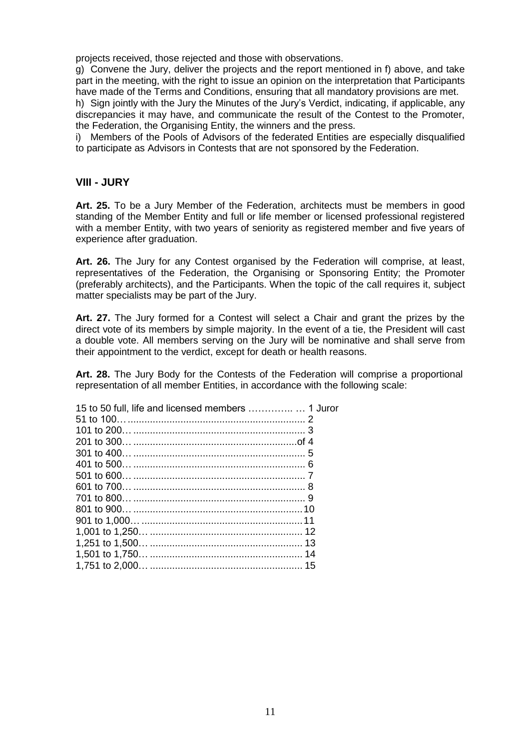projects received, those rejected and those with observations.

g) Convene the Jury, deliver the projects and the report mentioned in f) above, and take part in the meeting, with the right to issue an opinion on the interpretation that Participants have made of the Terms and Conditions, ensuring that all mandatory provisions are met.

h) Sign jointly with the Jury the Minutes of the Jury's Verdict, indicating, if applicable, any discrepancies it may have, and communicate the result of the Contest to the Promoter, the Federation, the Organising Entity, the winners and the press.

i) Members of the Pools of Advisors of the federated Entities are especially disqualified to participate as Advisors in Contests that are not sponsored by the Federation.

#### **VIII - JURY**

**Art. 25.** To be a Jury Member of the Federation, architects must be members in good standing of the Member Entity and full or life member or licensed professional registered with a member Entity, with two years of seniority as registered member and five years of experience after graduation.

**Art. 26.** The Jury for any Contest organised by the Federation will comprise, at least, representatives of the Federation, the Organising or Sponsoring Entity; the Promoter (preferably architects), and the Participants. When the topic of the call requires it, subject matter specialists may be part of the Jury.

**Art. 27.** The Jury formed for a Contest will select a Chair and grant the prizes by the direct vote of its members by simple majority. In the event of a tie, the President will cast a double vote. All members serving on the Jury will be nominative and shall serve from their appointment to the verdict, except for death or health reasons.

**Art. 28.** The Jury Body for the Contests of the Federation will comprise a proportional representation of all member Entities, in accordance with the following scale:

| 15 to 50 full, life and licensed members  1 Juror |  |
|---------------------------------------------------|--|
|                                                   |  |
|                                                   |  |
|                                                   |  |
|                                                   |  |
|                                                   |  |
|                                                   |  |
|                                                   |  |
|                                                   |  |
|                                                   |  |
|                                                   |  |
|                                                   |  |
|                                                   |  |
|                                                   |  |
|                                                   |  |
|                                                   |  |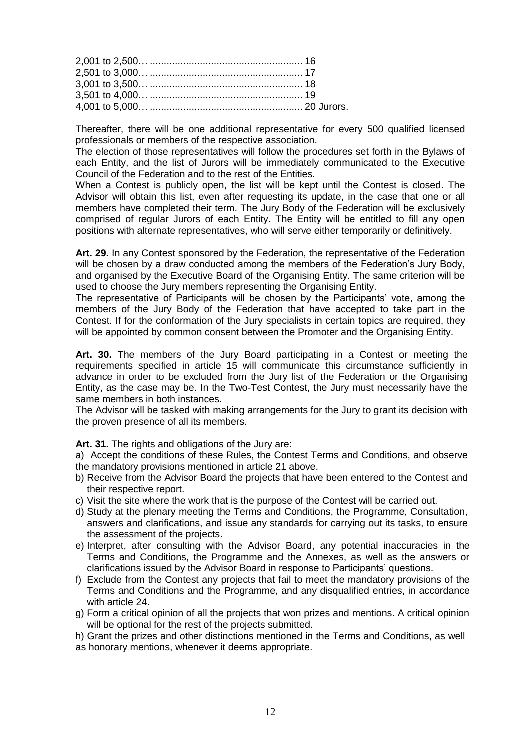Thereafter, there will be one additional representative for every 500 qualified licensed professionals or members of the respective association.

The election of those representatives will follow the procedures set forth in the Bylaws of each Entity, and the list of Jurors will be immediately communicated to the Executive Council of the Federation and to the rest of the Entities.

When a Contest is publicly open, the list will be kept until the Contest is closed. The Advisor will obtain this list, even after requesting its update, in the case that one or all members have completed their term. The Jury Body of the Federation will be exclusively comprised of regular Jurors of each Entity. The Entity will be entitled to fill any open positions with alternate representatives, who will serve either temporarily or definitively.

**Art. 29.** In any Contest sponsored by the Federation, the representative of the Federation will be chosen by a draw conducted among the members of the Federation's Jury Body, and organised by the Executive Board of the Organising Entity. The same criterion will be used to choose the Jury members representing the Organising Entity.

The representative of Participants will be chosen by the Participants' vote, among the members of the Jury Body of the Federation that have accepted to take part in the Contest. If for the conformation of the Jury specialists in certain topics are required, they will be appointed by common consent between the Promoter and the Organising Entity.

**Art. 30.** The members of the Jury Board participating in a Contest or meeting the requirements specified in article 15 will communicate this circumstance sufficiently in advance in order to be excluded from the Jury list of the Federation or the Organising Entity, as the case may be. In the Two-Test Contest, the Jury must necessarily have the same members in both instances.

The Advisor will be tasked with making arrangements for the Jury to grant its decision with the proven presence of all its members.

**Art. 31.** The rights and obligations of the Jury are:

a) Accept the conditions of these Rules, the Contest Terms and Conditions, and observe the mandatory provisions mentioned in article 21 above.

- b) Receive from the Advisor Board the projects that have been entered to the Contest and their respective report.
- c) Visit the site where the work that is the purpose of the Contest will be carried out.
- d) Study at the plenary meeting the Terms and Conditions, the Programme, Consultation, answers and clarifications, and issue any standards for carrying out its tasks, to ensure the assessment of the projects.
- e) Interpret, after consulting with the Advisor Board, any potential inaccuracies in the Terms and Conditions, the Programme and the Annexes, as well as the answers or clarifications issued by the Advisor Board in response to Participants' questions.
- f) Exclude from the Contest any projects that fail to meet the mandatory provisions of the Terms and Conditions and the Programme, and any disqualified entries, in accordance with article 24.
- g) Form a critical opinion of all the projects that won prizes and mentions. A critical opinion will be optional for the rest of the projects submitted.

h) Grant the prizes and other distinctions mentioned in the Terms and Conditions, as well as honorary mentions, whenever it deems appropriate.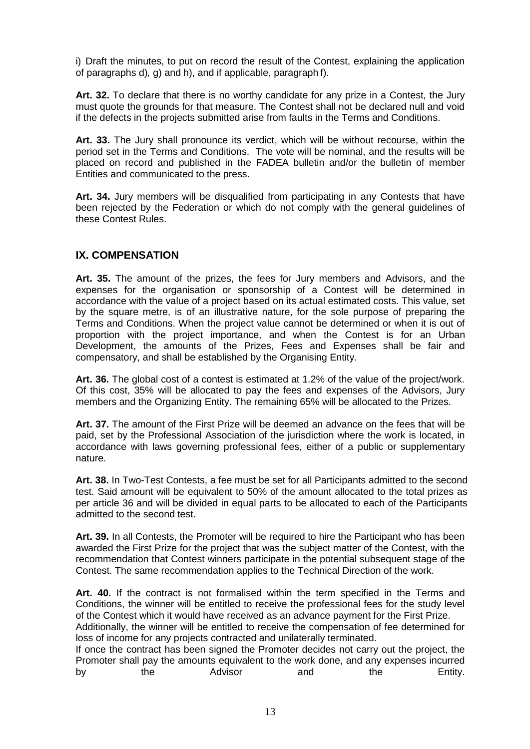i) Draft the minutes, to put on record the result of the Contest, explaining the application of paragraphs d)*,* g) and h), and if applicable, paragraph f).

**Art. 32.** To declare that there is no worthy candidate for any prize in a Contest, the Jury must quote the grounds for that measure. The Contest shall not be declared null and void if the defects in the projects submitted arise from faults in the Terms and Conditions.

**Art. 33.** The Jury shall pronounce its verdict, which will be without recourse, within the period set in the Terms and Conditions. The vote will be nominal, and the results will be placed on record and published in the FADEA bulletin and/or the bulletin of member Entities and communicated to the press.

**Art. 34.** Jury members will be disqualified from participating in any Contests that have been rejected by the Federation or which do not comply with the general guidelines of these Contest Rules.

#### **IX. COMPENSATION**

**Art. 35.** The amount of the prizes, the fees for Jury members and Advisors, and the expenses for the organisation or sponsorship of a Contest will be determined in accordance with the value of a project based on its actual estimated costs. This value, set by the square metre, is of an illustrative nature, for the sole purpose of preparing the Terms and Conditions. When the project value cannot be determined or when it is out of proportion with the project importance, and when the Contest is for an Urban Development, the amounts of the Prizes, Fees and Expenses shall be fair and compensatory, and shall be established by the Organising Entity.

**Art. 36.** The global cost of a contest is estimated at 1.2% of the value of the project/work. Of this cost, 35% will be allocated to pay the fees and expenses of the Advisors, Jury members and the Organizing Entity. The remaining 65% will be allocated to the Prizes.

**Art. 37.** The amount of the First Prize will be deemed an advance on the fees that will be paid, set by the Professional Association of the jurisdiction where the work is located, in accordance with laws governing professional fees, either of a public or supplementary nature.

**Art. 38.** In Two-Test Contests, a fee must be set for all Participants admitted to the second test. Said amount will be equivalent to 50% of the amount allocated to the total prizes as per article 36 and will be divided in equal parts to be allocated to each of the Participants admitted to the second test.

**Art. 39.** In all Contests, the Promoter will be required to hire the Participant who has been awarded the First Prize for the project that was the subject matter of the Contest, with the recommendation that Contest winners participate in the potential subsequent stage of the Contest. The same recommendation applies to the Technical Direction of the work.

**Art. 40.** If the contract is not formalised within the term specified in the Terms and Conditions, the winner will be entitled to receive the professional fees for the study level of the Contest which it would have received as an advance payment for the First Prize.

Additionally, the winner will be entitled to receive the compensation of fee determined for loss of income for any projects contracted and unilaterally terminated.

If once the contract has been signed the Promoter decides not carry out the project, the Promoter shall pay the amounts equivalent to the work done, and any expenses incurred by the Advisor and the Entity.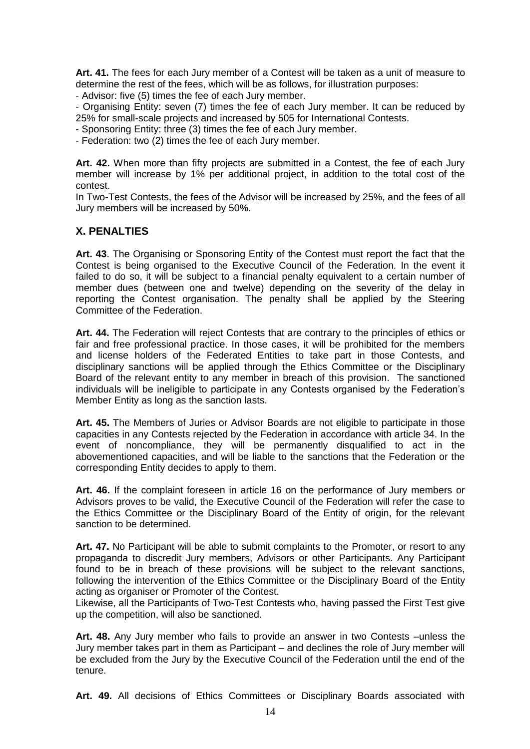**Art. 41.** The fees for each Jury member of a Contest will be taken as a unit of measure to determine the rest of the fees, which will be as follows, for illustration purposes:

- Advisor: five (5) times the fee of each Jury member.

- Organising Entity: seven (7) times the fee of each Jury member. It can be reduced by 25% for small-scale projects and increased by 505 for International Contests.

- Sponsoring Entity: three (3) times the fee of each Jury member.

- Federation: two (2) times the fee of each Jury member.

**Art. 42.** When more than fifty projects are submitted in a Contest, the fee of each Jury member will increase by 1% per additional project, in addition to the total cost of the contest.

In Two-Test Contests, the fees of the Advisor will be increased by 25%, and the fees of all Jury members will be increased by 50%.

## **X. PENALTIES**

**Art. 43**. The Organising or Sponsoring Entity of the Contest must report the fact that the Contest is being organised to the Executive Council of the Federation. In the event it failed to do so, it will be subject to a financial penalty equivalent to a certain number of member dues (between one and twelve) depending on the severity of the delay in reporting the Contest organisation. The penalty shall be applied by the Steering Committee of the Federation.

**Art. 44.** The Federation will reject Contests that are contrary to the principles of ethics or fair and free professional practice. In those cases, it will be prohibited for the members and license holders of the Federated Entities to take part in those Contests, and disciplinary sanctions will be applied through the Ethics Committee or the Disciplinary Board of the relevant entity to any member in breach of this provision. The sanctioned individuals will be ineligible to participate in any Contests organised by the Federation's Member Entity as long as the sanction lasts.

**Art. 45.** The Members of Juries or Advisor Boards are not eligible to participate in those capacities in any Contests rejected by the Federation in accordance with article 34. In the event of noncompliance, they will be permanently disqualified to act in the abovementioned capacities, and will be liable to the sanctions that the Federation or the corresponding Entity decides to apply to them.

**Art. 46.** If the complaint foreseen in article 16 on the performance of Jury members or Advisors proves to be valid, the Executive Council of the Federation will refer the case to the Ethics Committee or the Disciplinary Board of the Entity of origin, for the relevant sanction to be determined.

**Art. 47.** No Participant will be able to submit complaints to the Promoter, or resort to any propaganda to discredit Jury members, Advisors or other Participants. Any Participant found to be in breach of these provisions will be subject to the relevant sanctions, following the intervention of the Ethics Committee or the Disciplinary Board of the Entity acting as organiser or Promoter of the Contest.

Likewise, all the Participants of Two-Test Contests who, having passed the First Test give up the competition, will also be sanctioned.

**Art. 48.** Any Jury member who fails to provide an answer in two Contests –unless the Jury member takes part in them as Participant – and declines the role of Jury member will be excluded from the Jury by the Executive Council of the Federation until the end of the tenure.

**Art. 49.** All decisions of Ethics Committees or Disciplinary Boards associated with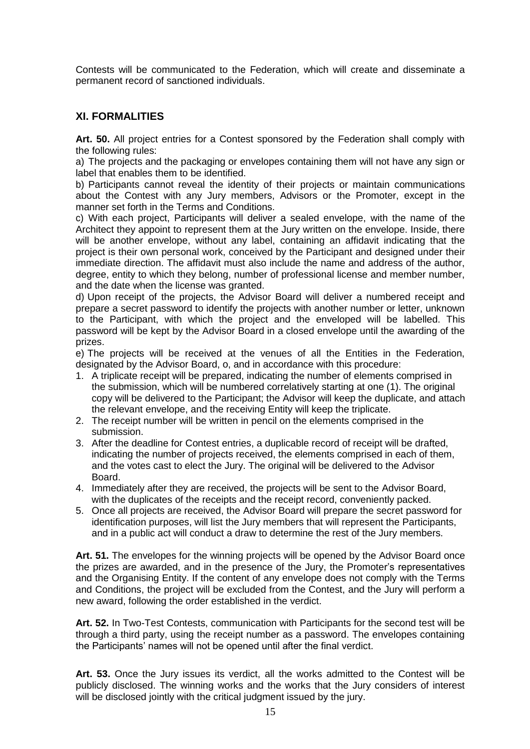Contests will be communicated to the Federation, which will create and disseminate a permanent record of sanctioned individuals.

## **XI. FORMALITIES**

**Art. 50.** All project entries for a Contest sponsored by the Federation shall comply with the following rules:

a) The projects and the packaging or envelopes containing them will not have any sign or label that enables them to be identified.

b) Participants cannot reveal the identity of their projects or maintain communications about the Contest with any Jury members, Advisors or the Promoter, except in the manner set forth in the Terms and Conditions.

c) With each project, Participants will deliver a sealed envelope, with the name of the Architect they appoint to represent them at the Jury written on the envelope. Inside, there will be another envelope, without any label, containing an affidavit indicating that the project is their own personal work, conceived by the Participant and designed under their immediate direction. The affidavit must also include the name and address of the author, degree, entity to which they belong, number of professional license and member number, and the date when the license was granted.

d) Upon receipt of the projects, the Advisor Board will deliver a numbered receipt and prepare a secret password to identify the projects with another number or letter, unknown to the Participant, with which the project and the enveloped will be labelled. This password will be kept by the Advisor Board in a closed envelope until the awarding of the prizes.

e) The projects will be received at the venues of all the Entities in the Federation, designated by the Advisor Board, o, and in accordance with this procedure:

- 1. A triplicate receipt will be prepared, indicating the number of elements comprised in the submission, which will be numbered correlatively starting at one (1). The original copy will be delivered to the Participant; the Advisor will keep the duplicate, and attach the relevant envelope, and the receiving Entity will keep the triplicate.
- 2. The receipt number will be written in pencil on the elements comprised in the submission.
- 3. After the deadline for Contest entries, a duplicable record of receipt will be drafted, indicating the number of projects received, the elements comprised in each of them, and the votes cast to elect the Jury. The original will be delivered to the Advisor Board.
- 4. Immediately after they are received, the projects will be sent to the Advisor Board, with the duplicates of the receipts and the receipt record, conveniently packed.
- 5. Once all projects are received, the Advisor Board will prepare the secret password for identification purposes, will list the Jury members that will represent the Participants, and in a public act will conduct a draw to determine the rest of the Jury members.

**Art. 51.** The envelopes for the winning projects will be opened by the Advisor Board once the prizes are awarded, and in the presence of the Jury, the Promoter's representatives and the Organising Entity. If the content of any envelope does not comply with the Terms and Conditions, the project will be excluded from the Contest, and the Jury will perform a new award, following the order established in the verdict.

**Art. 52.** In Two-Test Contests, communication with Participants for the second test will be through a third party, using the receipt number as a password. The envelopes containing the Participants' names will not be opened until after the final verdict.

**Art. 53.** Once the Jury issues its verdict, all the works admitted to the Contest will be publicly disclosed. The winning works and the works that the Jury considers of interest will be disclosed jointly with the critical judgment issued by the jury.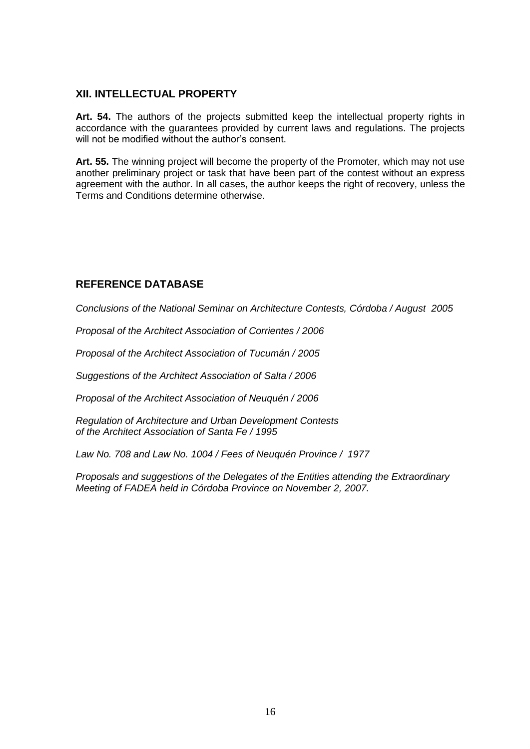#### **XII. INTELLECTUAL PROPERTY**

**Art. 54.** The authors of the projects submitted keep the intellectual property rights in accordance with the guarantees provided by current laws and regulations. The projects will not be modified without the author's consent.

**Art. 55.** The winning project will become the property of the Promoter, which may not use another preliminary project or task that have been part of the contest without an express agreement with the author. In all cases, the author keeps the right of recovery, unless the Terms and Conditions determine otherwise.

## **REFERENCE DATABASE**

*Conclusions of the National Seminar on Architecture Contests, Córdoba / August 2005*

*Proposal of the Architect Association of Corrientes / 2006* 

*Proposal of the Architect Association of Tucumán / 2005* 

*Suggestions of the Architect Association of Salta / 2006* 

*Proposal of the Architect Association of Neuquén / 2006*

*Regulation of Architecture and Urban Development Contests of the Architect Association of Santa Fe / 1995*

*Law No. 708 and Law No. 1004 / Fees of Neuquén Province / 1977*

*Proposals and suggestions of the Delegates of the Entities attending the Extraordinary Meeting of FADEA held in Córdoba Province on November 2, 2007.*